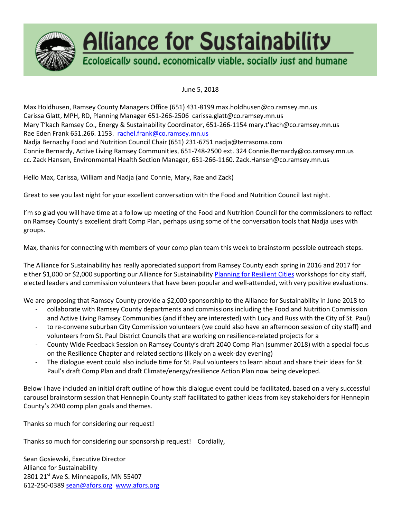

# **Alliance for Sustainability**

Ecologically sound, economically viable, socially just and humane

June 5, 2018

Max Holdhusen, Ramsey County Managers Office (651) 431-8199 max.holdhusen@co.ramsey.mn.us Carissa Glatt, MPH, RD, Planning Manager 651-266-2506 carissa.glatt@co.ramsey.mn.us Mary T'kach Ramsey Co., Energy & Sustainability Coordinator, 651-266-1154 mary.t'kach@co.ramsey.mn.us Rae Eden Frank 651.266. 1153. [rachel.frank@co.ramsey.mn.us](mailto:rachel.frank@co.ramsey.mn.us) Nadja Bernachy Food and Nutrition Council Chair (651) 231-6751 nadja@terrasoma.com Connie Bernardy, Active Living Ramsey Communities, 651-748-2500 ext. 324 Connie.Bernardy@co.ramsey.mn.us cc. Zack Hansen, Environmental Health Section Manager, 651-266-1160. Zack.Hansen@co.ramsey.mn.us

Hello Max, Carissa, William and Nadja (and Connie, Mary, Rae and Zack)

Great to see you last night for your excellent conversation with the Food and Nutrition Council last night.

I'm so glad you will have time at a follow up meeting of the Food and Nutrition Council for the commissioners to reflect on Ramsey County's excellent draft Comp Plan, perhaps using some of the conversation tools that Nadja uses with groups.

Max, thanks for connecting with members of your comp plan team this week to brainstorm possible outreach steps.

The Alliance for Sustainability has really appreciated support from Ramsey County each spring in 2016 and 2017 for either \$1,000 or \$2,000 supporting our Alliance for Sustainabilit[y Planning for Resilient Cities](http://allianceforsustainability.com/programs/resilientcities/) workshops for city staff, elected leaders and commission volunteers that have been popular and well-attended, with very positive evaluations.

We are proposing that Ramsey County provide a \$2,000 sponsorship to the Alliance for Sustainability in June 2018 to

- collaborate with Ramsey County departments and commissions including the Food and Nutrition Commission and Active Living Ramsey Communities (and if they are interested) with Lucy and Russ with the City of St. Paul)
- to re-convene suburban City Commission volunteers (we could also have an afternoon session of city staff) and volunteers from St. Paul District Councils that are working on resilience-related projects for a
- County Wide Feedback Session on Ramsey County's draft 2040 Comp Plan (summer 2018) with a special focus on the Resilience Chapter and related sections (likely on a week-day evening)
- The dialogue event could also include time for St. Paul volunteers to learn about and share their ideas for St. Paul's draft Comp Plan and draft Climate/energy/resilience Action Plan now being developed.

Below I have included an initial draft outline of how this dialogue event could be facilitated, based on a very successful carousel brainstorm session that Hennepin County staff facilitated to gather ideas from key stakeholders for Hennepin County's 2040 comp plan goals and themes.

Thanks so much for considering our request!

Thanks so much for considering our sponsorship request! Cordially,

Sean Gosiewski, Executive Director Alliance for Sustainability 2801 21<sup>st</sup> Ave S. Minneapolis, MN 55407 612-250-0389 [sean@afors.org](mailto:sean@afors.org) [www.afors.org](http://www.afors.org%C2%A0/)